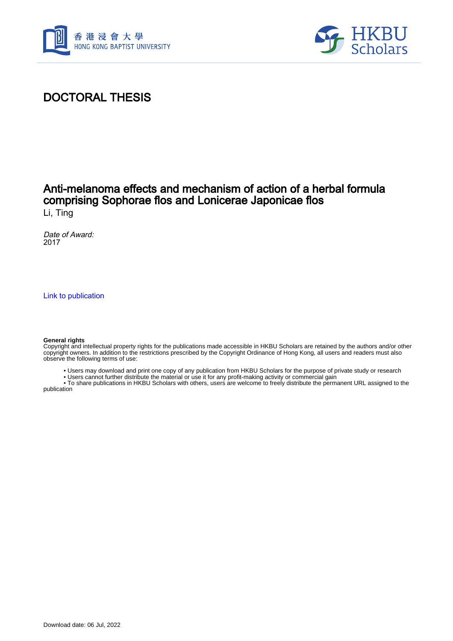



## DOCTORAL THESIS

# Anti-melanoma effects and mechanism of action of a herbal formula comprising Sophorae flos and Lonicerae Japonicae flos

Li, Ting

Date of Award: 2017

[Link to publication](https://scholars.hkbu.edu.hk/en/studentTheses/6ccba84e-ea95-446b-838d-f492a730bf22)

#### **General rights**

Copyright and intellectual property rights for the publications made accessible in HKBU Scholars are retained by the authors and/or other copyright owners. In addition to the restrictions prescribed by the Copyright Ordinance of Hong Kong, all users and readers must also observe the following terms of use:

- Users may download and print one copy of any publication from HKBU Scholars for the purpose of private study or research
- Users cannot further distribute the material or use it for any profit-making activity or commercial gain

 • To share publications in HKBU Scholars with others, users are welcome to freely distribute the permanent URL assigned to the publication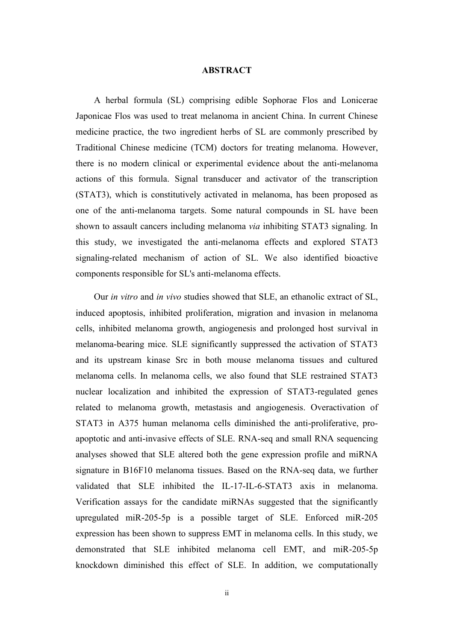### **ABSTRACT**

A herbal formula (SL) comprising edible Sophorae Flos and Lonicerae Japonicae Flos was used to treat melanoma in ancient China. In current Chinese medicine practice, the two ingredient herbs of SL are commonly prescribed by Traditional Chinese medicine (TCM) doctors for treating melanoma. However, there is no modern clinical or experimental evidence about the anti-melanoma actions of this formula. Signal transducer and activator of the transcription (STAT3), which is constitutively activated in melanoma, has been proposed as one of the anti-melanoma targets. Some natural compounds in SL have been shown to assault cancers including melanoma *via* inhibiting STAT3 signaling. In this study, we investigated the anti-melanoma effects and explored STAT3 signaling-related mechanism of action of SL. We also identified bioactive components responsible for SL's anti-melanoma effects.

Our *in vitro* and *in vivo* studies showed that SLE, an ethanolic extract of SL, induced apoptosis, inhibited proliferation, migration and invasion in melanoma cells, inhibited melanoma growth, angiogenesis and prolonged host survival in melanoma-bearing mice. SLE significantly suppressed the activation of STAT3 and its upstream kinase Src in both mouse melanoma tissues and cultured melanoma cells. In melanoma cells, we also found that SLE restrained STAT3 nuclear localization and inhibited the expression of STAT3-regulated genes related to melanoma growth, metastasis and angiogenesis. Overactivation of STAT3 in A375 human melanoma cells diminished the anti-proliferative, proapoptotic and anti-invasive effects of SLE. RNA-seq and small RNA sequencing analyses showed that SLE altered both the gene expression profile and miRNA signature in B16F10 melanoma tissues. Based on the RNA-seq data, we further validated that SLE inhibited the IL-17-IL-6-STAT3 axis in melanoma. Verification assays for the candidate miRNAs suggested that the significantly upregulated miR-205-5p is a possible target of SLE. Enforced miR-205 expression has been shown to suppress EMT in melanoma cells. In this study, we demonstrated that SLE inhibited melanoma cell EMT, and miR-205-5p knockdown diminished this effect of SLE. In addition, we computationally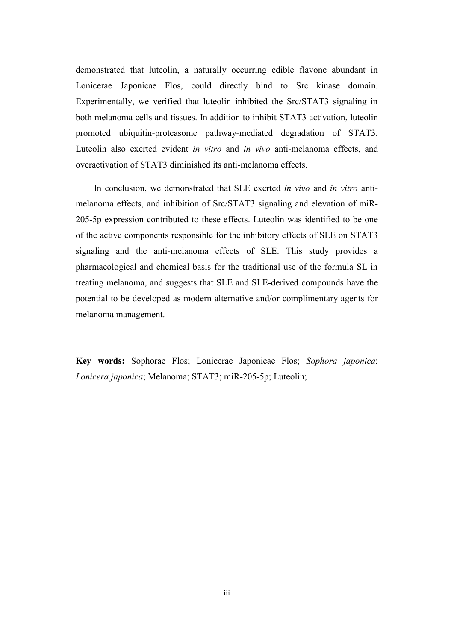demonstrated that luteolin, a naturally occurring edible flavone abundant in Lonicerae Japonicae Flos, could directly bind to Src kinase domain. Experimentally, we verified that luteolin inhibited the Src/STAT3 signaling in both melanoma cells and tissues. In addition to inhibit STAT3 activation, luteolin promoted ubiquitin-proteasome pathway-mediated degradation of STAT3. Luteolin also exerted evident *in vitro* and *in vivo* anti-melanoma effects, and overactivation of STAT3 diminished its anti-melanoma effects.

In conclusion, we demonstrated that SLE exerted *in vivo* and *in vitro* antimelanoma effects, and inhibition of Src/STAT3 signaling and elevation of miR-205-5p expression contributed to these effects. Luteolin was identified to be one of the active components responsible for the inhibitory effects of SLE on STAT3 signaling and the anti-melanoma effects of SLE. This study provides a pharmacological and chemical basis for the traditional use of the formula SL in treating melanoma, and suggests that SLE and SLE-derived compounds have the potential to be developed as modern alternative and/or complimentary agents for melanoma management.

**Key words:** Sophorae Flos; Lonicerae Japonicae Flos; *Sophora japonica*; *Lonicera japonica*; Melanoma; STAT3; miR-205-5p; Luteolin;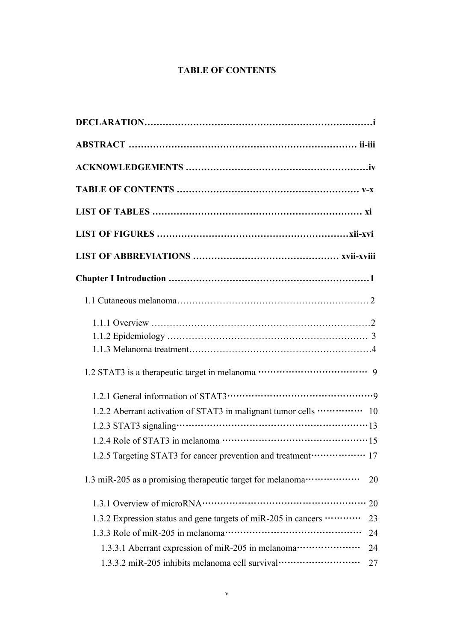## **TABLE OF CONTENTS**

| 1.2.2 Aberrant activation of STAT3 in malignant tumor cells ·············· 10                                                                                                                                                                                                                                                |  |
|------------------------------------------------------------------------------------------------------------------------------------------------------------------------------------------------------------------------------------------------------------------------------------------------------------------------------|--|
|                                                                                                                                                                                                                                                                                                                              |  |
| 1.2.4 Role of STAT3 in melanoma $\cdots$ $\cdots$ $\cdots$ $\cdots$ $\cdots$ $\cdots$ $\cdots$ $\cdots$ $\cdots$ $\cdots$ $\cdots$ $\cdots$ $\cdots$ $\cdots$ $\cdots$ $\cdots$ $\cdots$ $\cdots$ $\cdots$ $\cdots$ $\cdots$ $\cdots$ $\cdots$ $\cdots$ $\cdots$ $\cdots$ $\cdots$ $\cdots$ $\cdots$ $\cdots$ $\cdots$ $\cd$ |  |
| 1.2.5 Targeting STAT3 for cancer prevention and treatment ·················· 17                                                                                                                                                                                                                                              |  |
| 1.3 miR-205 as a promising therapeutic target for melanoma ·····················<br>20                                                                                                                                                                                                                                       |  |
| 20                                                                                                                                                                                                                                                                                                                           |  |
| 1.3.2 Expression status and gene targets of miR-205 in cancers<br>23                                                                                                                                                                                                                                                         |  |
| 24                                                                                                                                                                                                                                                                                                                           |  |
| 1.3.3.1 Aberrant expression of miR-205 in melanoma ························<br>24                                                                                                                                                                                                                                            |  |
| 1.3.3.2 miR-205 inhibits melanoma cell survival ································<br>27                                                                                                                                                                                                                                       |  |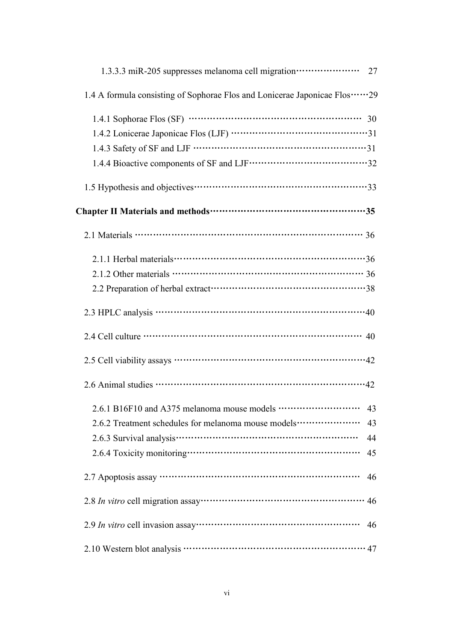| 1.3.3.3 miR-205 suppresses melanoma cell migration ····················· 27                                                                                                                                                                                                                                                        |
|------------------------------------------------------------------------------------------------------------------------------------------------------------------------------------------------------------------------------------------------------------------------------------------------------------------------------------|
| 1.4 A formula consisting of Sophorae Flos and Lonicerae Japonicae Flos29                                                                                                                                                                                                                                                           |
| 1.4.1 Sophorae Flos (SF) $\cdots$ $\cdots$ $\cdots$ $\cdots$ $\cdots$ $\cdots$ $\cdots$ $\cdots$ $\cdots$ $\cdots$ $\cdots$ $\cdots$ $\cdots$ $\cdots$ $\cdots$ $\cdots$ $\cdots$ $\cdots$ $\cdots$ $\cdots$ $\cdots$ $\cdots$ $\cdots$ $\cdots$ $\cdots$ $\cdots$ $\cdots$ $\cdots$ $\cdots$ $\cdots$ $\cdots$ $\cdots$ $\cdots$  |
|                                                                                                                                                                                                                                                                                                                                    |
|                                                                                                                                                                                                                                                                                                                                    |
|                                                                                                                                                                                                                                                                                                                                    |
|                                                                                                                                                                                                                                                                                                                                    |
|                                                                                                                                                                                                                                                                                                                                    |
|                                                                                                                                                                                                                                                                                                                                    |
|                                                                                                                                                                                                                                                                                                                                    |
| 2.1.2 Other materials $\cdots$ $\cdots$ $\cdots$ $\cdots$ $\cdots$ $\cdots$ $\cdots$ $\cdots$ $\cdots$ $\cdots$ $\cdots$ $\cdots$ $\cdots$ $\cdots$ $\cdots$ $\cdots$ $\cdots$ $\cdots$ $\cdots$ $\cdots$ $\cdots$ $\cdots$ $\cdots$ $\cdots$ $\cdots$ $\cdots$ $\cdots$ $\cdots$ $\cdots$ $\cdots$ $\cdots$ $\cdots$ $\cdots$     |
|                                                                                                                                                                                                                                                                                                                                    |
| $2.3$ HPLC analysis $\cdots$ $\cdots$ $\cdots$ $\cdots$ $\cdots$ $\cdots$ $\cdots$ $\cdots$ $\cdots$ $\cdots$ $\cdots$ $\cdots$ $\cdots$ $\cdots$ $\cdots$ $\cdots$ $\cdots$ $\cdots$ $\cdots$ $\cdots$ $\cdots$ $\cdots$ $\cdots$ $\cdots$ $\cdots$ $\cdots$ $\cdots$ $\cdots$ $\cdots$ $\cdots$ $\cdots$ $\cdots$ $\cdots$ $\cd$ |
| 2.4 Cell culture $\cdots$ $\cdots$ $\cdots$ $\cdots$ $\cdots$ $\cdots$ $\cdots$ $\cdots$ $\cdots$ $\cdots$ $\cdots$ $\cdots$ $\cdots$ $\cdots$ $\cdots$ $\cdots$ $\cdots$ $\cdots$ $\cdots$ $\cdots$ $\cdots$ $\cdots$ $\cdots$ $\cdots$ $\cdots$ $\cdots$ $\cdots$ $\cdots$ $\cdots$ $\cdots$ $\cdots$ $\cdots$ $\cdots$ $\cdots$ |
|                                                                                                                                                                                                                                                                                                                                    |
|                                                                                                                                                                                                                                                                                                                                    |
| 2.6.1 B16F10 and A375 melanoma mouse models<br>$\cdots$ 43                                                                                                                                                                                                                                                                         |
| 2.6.2 Treatment schedules for melanoma mouse models<br>43                                                                                                                                                                                                                                                                          |
| 44                                                                                                                                                                                                                                                                                                                                 |
| 45                                                                                                                                                                                                                                                                                                                                 |
| 46                                                                                                                                                                                                                                                                                                                                 |
| 46                                                                                                                                                                                                                                                                                                                                 |
| 46                                                                                                                                                                                                                                                                                                                                 |
|                                                                                                                                                                                                                                                                                                                                    |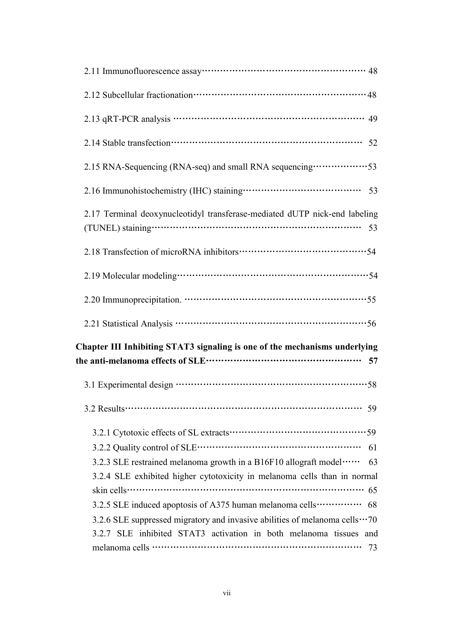| 2.13 qRT-PCR analysis ………………………………………………………… 49                                                                                                                                                                                                                                                                       |
|-----------------------------------------------------------------------------------------------------------------------------------------------------------------------------------------------------------------------------------------------------------------------------------------------------------------------|
|                                                                                                                                                                                                                                                                                                                       |
| 2.15 RNA-Sequencing (RNA-seq) and small RNA sequencing ·················53                                                                                                                                                                                                                                            |
|                                                                                                                                                                                                                                                                                                                       |
| 2.17 Terminal deoxynucleotidyl transferase-mediated dUTP nick-end labeling                                                                                                                                                                                                                                            |
|                                                                                                                                                                                                                                                                                                                       |
|                                                                                                                                                                                                                                                                                                                       |
|                                                                                                                                                                                                                                                                                                                       |
|                                                                                                                                                                                                                                                                                                                       |
| Chapter III Inhibiting STAT3 signaling is one of the mechanisms underlying                                                                                                                                                                                                                                            |
|                                                                                                                                                                                                                                                                                                                       |
| 59                                                                                                                                                                                                                                                                                                                    |
| 61<br>3.2.3 SLE restrained melanoma growth in a B16F10 allograft model<br>63<br>3.2.4 SLE exhibited higher cytotoxicity in melanoma cells than in normal<br>3.2.5 SLE induced apoptosis of A375 human melanoma cells ·············· 68<br>3.2.6 SLE suppressed migratory and invasive abilities of melanoma cells  70 |
| 3.2.7 SLE inhibited STAT3 activation in both melanoma tissues and<br>73                                                                                                                                                                                                                                               |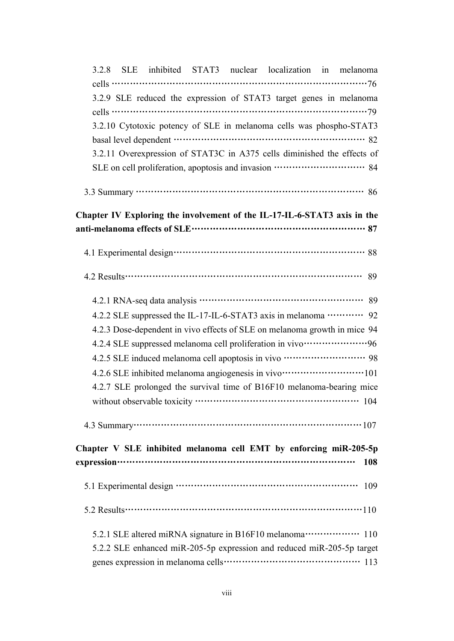| 3.2.8 SLE inhibited STAT3 nuclear localization in melanoma                                                                                                                                                                                                                                                                                |
|-------------------------------------------------------------------------------------------------------------------------------------------------------------------------------------------------------------------------------------------------------------------------------------------------------------------------------------------|
| cells $\cdots$ $\cdots$ $\cdots$ $\cdots$ $\cdots$ $\cdots$ $\cdots$ $\cdots$ $\cdots$ $\cdots$ $\cdots$ $\cdots$ $\cdots$ $\cdots$ $\cdots$ $\cdots$ $\cdots$ $\cdots$ $\cdots$ $\cdots$ $\cdots$ $\cdots$ $\cdots$ $\cdots$ $\cdots$ $\cdots$ $\cdots$ $\cdots$ $\cdots$ $\cdots$ $\cdots$ $\cdots$ $\cdots$ $\cdots$ $\cdots$ $\cdots$ |
| 3.2.9 SLE reduced the expression of STAT3 target genes in melanoma                                                                                                                                                                                                                                                                        |
|                                                                                                                                                                                                                                                                                                                                           |
| 3.2.10 Cytotoxic potency of SLE in melanoma cells was phospho-STAT3                                                                                                                                                                                                                                                                       |
|                                                                                                                                                                                                                                                                                                                                           |
| 3.2.11 Overexpression of STAT3C in A375 cells diminished the effects of                                                                                                                                                                                                                                                                   |
| SLE on cell proliferation, apoptosis and invasion ………………………… 84                                                                                                                                                                                                                                                                           |
|                                                                                                                                                                                                                                                                                                                                           |
| Chapter IV Exploring the involvement of the IL-17-IL-6-STAT3 axis in the                                                                                                                                                                                                                                                                  |
|                                                                                                                                                                                                                                                                                                                                           |
|                                                                                                                                                                                                                                                                                                                                           |
|                                                                                                                                                                                                                                                                                                                                           |
|                                                                                                                                                                                                                                                                                                                                           |
|                                                                                                                                                                                                                                                                                                                                           |
| 4.2.3 Dose-dependent in vivo effects of SLE on melanoma growth in mice 94                                                                                                                                                                                                                                                                 |
| 4.2.4 SLE suppressed melanoma cell proliferation in vivo·····················96                                                                                                                                                                                                                                                           |
| 4.2.5 SLE induced melanoma cell apoptosis in vivo ······························ 98                                                                                                                                                                                                                                                       |
| 4.2.6 SLE inhibited melanoma angiogenesis in vivo·······························101                                                                                                                                                                                                                                                       |
| 4.2.7 SLE prolonged the survival time of B16F10 melanoma-bearing mice                                                                                                                                                                                                                                                                     |
| without observable toxicity ……………………………………………………… 104                                                                                                                                                                                                                                                                                     |
|                                                                                                                                                                                                                                                                                                                                           |
|                                                                                                                                                                                                                                                                                                                                           |
|                                                                                                                                                                                                                                                                                                                                           |
| Chapter V SLE inhibited melanoma cell EMT by enforcing miR-205-5p<br>108                                                                                                                                                                                                                                                                  |
|                                                                                                                                                                                                                                                                                                                                           |
| 109                                                                                                                                                                                                                                                                                                                                       |
| 5.2 Results $\cdots$ $\cdots$ $\cdots$ $\cdots$ $\cdots$ $\cdots$ $\cdots$ $\cdots$ $\cdots$ $\cdots$ $\cdots$ $\cdots$ $\cdots$ $\cdots$ $\cdots$ $\cdots$ $\cdots$ $\cdots$ $\cdots$ $\cdots$ $\cdots$ $\cdots$ $\cdots$ $\cdots$ $\cdots$ $\cdots$ $\cdots$ $\cdots$ $\cdots$ $\cdots$ $\cdots$ $\cdots$ $\cdots$ $\cdots$ $\cdots$    |
|                                                                                                                                                                                                                                                                                                                                           |
| 5.2.2 SLE enhanced miR-205-5p expression and reduced miR-205-5p target                                                                                                                                                                                                                                                                    |
|                                                                                                                                                                                                                                                                                                                                           |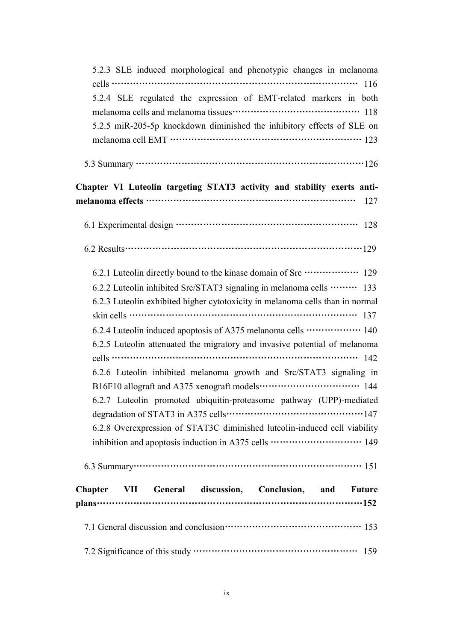| 5.2.3 SLE induced morphological and phenotypic changes in melanoma<br>cells $\cdots$ $\cdots$ $\cdots$ $\cdots$ $\cdots$ $\cdots$ $\cdots$ $\cdots$ $\cdots$ $\cdots$ $\cdots$ $\cdots$ $\cdots$ $\cdots$ $\cdots$ $\cdots$ $\cdots$ $\cdots$<br>5.2.4 SLE regulated the expression of EMT-related markers in both<br>5.2.5 miR-205-5p knockdown diminished the inhibitory effects of SLE on                                                                                                                                                                                                                                                                                                                                                                                                                                                                                                                                                                                                                                                                                               |
|--------------------------------------------------------------------------------------------------------------------------------------------------------------------------------------------------------------------------------------------------------------------------------------------------------------------------------------------------------------------------------------------------------------------------------------------------------------------------------------------------------------------------------------------------------------------------------------------------------------------------------------------------------------------------------------------------------------------------------------------------------------------------------------------------------------------------------------------------------------------------------------------------------------------------------------------------------------------------------------------------------------------------------------------------------------------------------------------|
|                                                                                                                                                                                                                                                                                                                                                                                                                                                                                                                                                                                                                                                                                                                                                                                                                                                                                                                                                                                                                                                                                            |
| Chapter VI Luteolin targeting STAT3 activity and stability exerts anti-<br>127                                                                                                                                                                                                                                                                                                                                                                                                                                                                                                                                                                                                                                                                                                                                                                                                                                                                                                                                                                                                             |
|                                                                                                                                                                                                                                                                                                                                                                                                                                                                                                                                                                                                                                                                                                                                                                                                                                                                                                                                                                                                                                                                                            |
| 6.2 Results $\cdots$ $\cdots$ $\cdots$ $\cdots$ $\cdots$ $\cdots$ $\cdots$ $\cdots$ $\cdots$ $\cdots$ $\cdots$ $\cdots$ $\cdots$ $\cdots$ $\cdots$ $\cdots$ $\cdots$ $\cdots$ $\cdots$ $\cdots$ $\cdots$ $\cdots$ $\cdots$ $\cdots$ $\cdots$ $\cdots$ $\cdots$ $\cdots$ $\cdots$ $\cdots$ $\cdots$ $\cdots$ $\cdots$ $\cdots$ $\cdots$                                                                                                                                                                                                                                                                                                                                                                                                                                                                                                                                                                                                                                                                                                                                                     |
| 6.2.1 Luteolin directly bound to the kinase domain of Src ················· 129<br>6.2.2 Luteolin inhibited Src/STAT3 signaling in melanoma cells  133<br>6.2.3 Luteolin exhibited higher cytotoxicity in melanoma cells than in normal<br>skin cells $\cdots$ $\cdots$ $\cdots$ $\cdots$ $\cdots$ $\cdots$ $\cdots$ $\cdots$ $\cdots$ $\cdots$ $\cdots$ $\cdots$ $\cdots$ $\cdots$ $\cdots$ $\cdots$ $\cdots$ $\cdots$ $\cdots$ $\cdots$<br>6.2.4 Luteolin induced apoptosis of A375 melanoma cells ················· 140<br>6.2.5 Luteolin attenuated the migratory and invasive potential of melanoma<br>cells $\cdots$ $\cdots$ $\cdots$ $\cdots$ $\cdots$ $\cdots$ $\cdots$ $\cdots$ $\cdots$ $\cdots$ $\cdots$ $\cdots$ $\cdots$ $\cdots$ $\cdots$ $\cdots$ $\cdots$ $\cdots$ $\cdots$<br>6.2.6 Luteolin inhibited melanoma growth and Src/STAT3 signaling in<br>6.2.7 Luteolin promoted ubiquitin-proteasome pathway (UPP)-mediated<br>6.2.8 Overexpression of STAT3C diminished luteolin-induced cell viability<br>inhibition and apoptosis induction in A375 cells ………………………… 149 |
| Chapter VII General discussion, Conclusion, and Future                                                                                                                                                                                                                                                                                                                                                                                                                                                                                                                                                                                                                                                                                                                                                                                                                                                                                                                                                                                                                                     |
|                                                                                                                                                                                                                                                                                                                                                                                                                                                                                                                                                                                                                                                                                                                                                                                                                                                                                                                                                                                                                                                                                            |
|                                                                                                                                                                                                                                                                                                                                                                                                                                                                                                                                                                                                                                                                                                                                                                                                                                                                                                                                                                                                                                                                                            |
|                                                                                                                                                                                                                                                                                                                                                                                                                                                                                                                                                                                                                                                                                                                                                                                                                                                                                                                                                                                                                                                                                            |